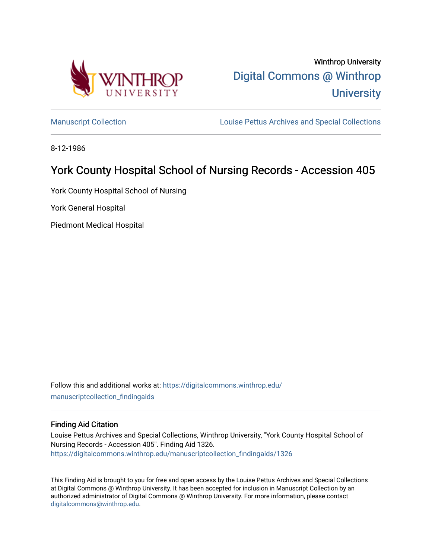

Winthrop University [Digital Commons @ Winthrop](https://digitalcommons.winthrop.edu/)  **University** 

[Manuscript Collection](https://digitalcommons.winthrop.edu/manuscriptcollection_findingaids) **Louise Pettus Archives and Special Collections** 

8-12-1986

# York County Hospital School of Nursing Records - Accession 405

York County Hospital School of Nursing

York General Hospital

Piedmont Medical Hospital

Follow this and additional works at: [https://digitalcommons.winthrop.edu/](https://digitalcommons.winthrop.edu/manuscriptcollection_findingaids?utm_source=digitalcommons.winthrop.edu%2Fmanuscriptcollection_findingaids%2F1326&utm_medium=PDF&utm_campaign=PDFCoverPages) [manuscriptcollection\\_findingaids](https://digitalcommons.winthrop.edu/manuscriptcollection_findingaids?utm_source=digitalcommons.winthrop.edu%2Fmanuscriptcollection_findingaids%2F1326&utm_medium=PDF&utm_campaign=PDFCoverPages) 

# Finding Aid Citation

Louise Pettus Archives and Special Collections, Winthrop University, "York County Hospital School of Nursing Records - Accession 405". Finding Aid 1326. [https://digitalcommons.winthrop.edu/manuscriptcollection\\_findingaids/1326](https://digitalcommons.winthrop.edu/manuscriptcollection_findingaids/1326?utm_source=digitalcommons.winthrop.edu%2Fmanuscriptcollection_findingaids%2F1326&utm_medium=PDF&utm_campaign=PDFCoverPages) 

This Finding Aid is brought to you for free and open access by the Louise Pettus Archives and Special Collections at Digital Commons @ Winthrop University. It has been accepted for inclusion in Manuscript Collection by an authorized administrator of Digital Commons @ Winthrop University. For more information, please contact [digitalcommons@winthrop.edu](mailto:digitalcommons@winthrop.edu).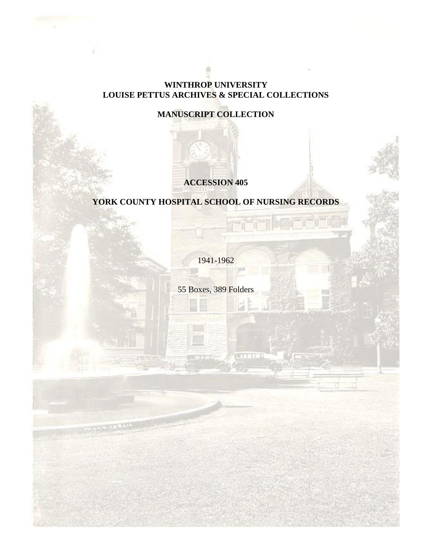# **WINTHROP UNIVERSITY LOUISE PETTUS ARCHIVES & SPECIAL COLLECTIONS**

# **MANUSCRIPT COLLECTION**

# **ACCESSION 405**

# **YORK COUNTY HOSPITAL SCHOOL OF NURSING RECORDS**

1941-1962

55 Boxes, 389 Folders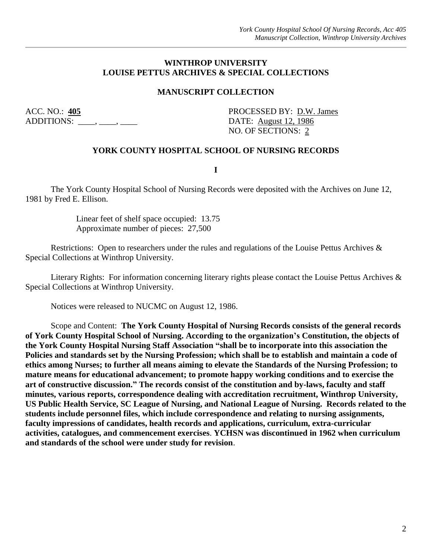# **WINTHROP UNIVERSITY LOUISE PETTUS ARCHIVES & SPECIAL COLLECTIONS**

# **MANUSCRIPT COLLECTION**

 $ADDITIONS:$  \_\_\_\_, \_\_\_\_, \_\_\_\_\_, DATE:  $August 12, 1986$ 

ACC. NO.:  $\frac{405}{20}$  PROCESSED BY: D.W. James NO. OF SECTIONS: 2

# **YORK COUNTY HOSPITAL SCHOOL OF NURSING RECORDS**

**I**

The York County Hospital School of Nursing Records were deposited with the Archives on June 12, 1981 by Fred E. Ellison.

> Linear feet of shelf space occupied: 13.75 Approximate number of pieces: 27,500

Restrictions: Open to researchers under the rules and regulations of the Louise Pettus Archives & Special Collections at Winthrop University.

Literary Rights: For information concerning literary rights please contact the Louise Pettus Archives & Special Collections at Winthrop University.

Notices were released to NUCMC on August 12, 1986.

Scope and Content: **The York County Hospital of Nursing Records consists of the general records of York County Hospital School of Nursing. According to the organization's Constitution, the objects of the York County Hospital Nursing Staff Association "shall be to incorporate into this association the Policies and standards set by the Nursing Profession; which shall be to establish and maintain a code of ethics among Nurses; to further all means aiming to elevate the Standards of the Nursing Profession; to mature means for educational advancement; to promote happy working conditions and to exercise the art of constructive discussion." The records consist of the constitution and by-laws, faculty and staff minutes, various reports, correspondence dealing with accreditation recruitment, Winthrop University, US Public Health Service, SC League of Nursing, and National League of Nursing. Records related to the students include personnel files, which include correspondence and relating to nursing assignments, faculty impressions of candidates, health records and applications, curriculum, extra-curricular activities, catalogues, and commencement exercises**. **YCHSN was discontinued in 1962 when curriculum and standards of the school were under study for revision**.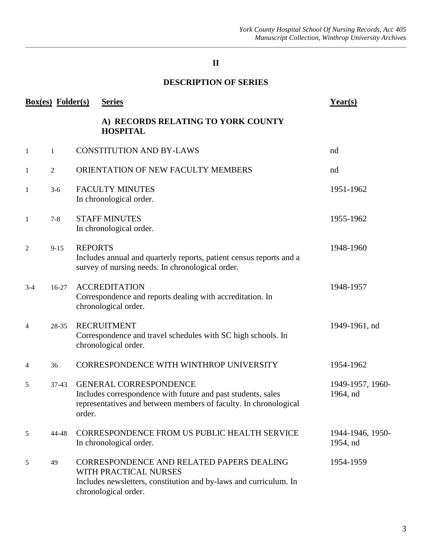# **DESCRIPTION OF SERIES**

|       | <b>Box(es)</b> Folder(s) | <b>Series</b>                                                                                                                                                               | Year(s)                      |
|-------|--------------------------|-----------------------------------------------------------------------------------------------------------------------------------------------------------------------------|------------------------------|
|       |                          | A) RECORDS RELATING TO YORK COUNTY<br><b>HOSPITAL</b>                                                                                                                       |                              |
| 1     | 1                        | <b>CONSTITUTION AND BY-LAWS</b>                                                                                                                                             | nd                           |
| 1     | $\overline{2}$           | ORIENTATION OF NEW FACULTY MEMBERS                                                                                                                                          | nd                           |
| 1     | $3-6$                    | <b>FACULTY MINUTES</b><br>In chronological order.                                                                                                                           | 1951-1962                    |
| 1     | $7 - 8$                  | <b>STAFF MINUTES</b><br>In chronological order.                                                                                                                             | 1955-1962                    |
| 2     | $9 - 15$                 | <b>REPORTS</b><br>Includes annual and quarterly reports, patient census reports and a<br>survey of nursing needs. In chronological order.                                   | 1948-1960                    |
| $3-4$ | $16 - 27$                | <b>ACCREDITATION</b><br>Correspondence and reports dealing with accreditation. In<br>chronological order.                                                                   | 1948-1957                    |
| 4     | 28-35                    | <b>RECRUITMENT</b><br>Correspondence and travel schedules with SC high schools. In<br>chronological order.                                                                  | 1949-1961, nd                |
| 4     | 36                       | CORRESPONDENCE WITH WINTHROP UNIVERSITY                                                                                                                                     | 1954-1962                    |
| 5     | $37-43$                  | <b>GENERAL CORRESPONDENCE</b><br>Includes correspondence with future and past students, sales<br>representatives and between members of faculty. In chronological<br>order. | 1949-1957, 1960-<br>1964, nd |
| 5     | 44-48                    | CORRESPONDENCE FROM US PUBLIC HEALTH SERVICE<br>In chronological order.                                                                                                     | 1944-1946, 1950-<br>1954, nd |
| 5     | 49                       | CORRESPONDENCE AND RELATED PAPERS DEALING<br>WITH PRACTICAL NURSES<br>Includes newsletters, constitution and by-laws and curriculum. In<br>chronological order.             | 1954-1959                    |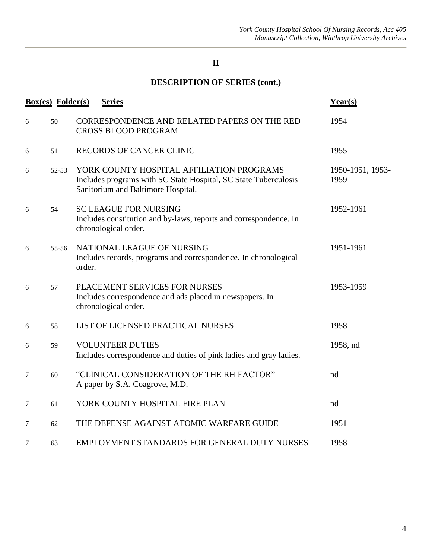# **DESCRIPTION OF SERIES (cont.)**

|   | <b>Box(es)</b> Folder(s) | <b>Series</b>                                                                                                                                      | Year(s)                  |
|---|--------------------------|----------------------------------------------------------------------------------------------------------------------------------------------------|--------------------------|
| 6 | 50                       | CORRESPONDENCE AND RELATED PAPERS ON THE RED<br><b>CROSS BLOOD PROGRAM</b>                                                                         | 1954                     |
| 6 | 51                       | RECORDS OF CANCER CLINIC                                                                                                                           | 1955                     |
| 6 | $52 - 53$                | YORK COUNTY HOSPITAL AFFILIATION PROGRAMS<br>Includes programs with SC State Hospital, SC State Tuberculosis<br>Sanitorium and Baltimore Hospital. | 1950-1951, 1953-<br>1959 |
| 6 | 54                       | <b>SC LEAGUE FOR NURSING</b><br>Includes constitution and by-laws, reports and correspondence. In<br>chronological order.                          | 1952-1961                |
| 6 | $55 - 56$                | NATIONAL LEAGUE OF NURSING<br>Includes records, programs and correspondence. In chronological<br>order.                                            | 1951-1961                |
| 6 | 57                       | PLACEMENT SERVICES FOR NURSES<br>Includes correspondence and ads placed in newspapers. In<br>chronological order.                                  | 1953-1959                |
| 6 | 58                       | LIST OF LICENSED PRACTICAL NURSES                                                                                                                  | 1958                     |
| 6 | 59                       | <b>VOLUNTEER DUTIES</b><br>Includes correspondence and duties of pink ladies and gray ladies.                                                      | 1958, nd                 |
| 7 | 60                       | "CLINICAL CONSIDERATION OF THE RH FACTOR"<br>A paper by S.A. Coagrove, M.D.                                                                        | nd                       |
| 7 | 61                       | YORK COUNTY HOSPITAL FIRE PLAN                                                                                                                     | nd                       |
| 7 | 62                       | THE DEFENSE AGAINST ATOMIC WARFARE GUIDE                                                                                                           | 1951                     |
| 7 | 63                       | EMPLOYMENT STANDARDS FOR GENERAL DUTY NURSES                                                                                                       | 1958                     |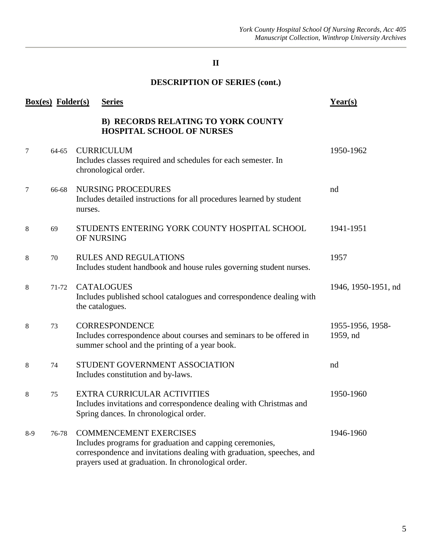# **DESCRIPTION OF SERIES (cont.)**

|       | <b>Box(es)</b> Folder(s) |         | <b>Series</b>                                                                                                                                                                                                             | Year(s)                      |
|-------|--------------------------|---------|---------------------------------------------------------------------------------------------------------------------------------------------------------------------------------------------------------------------------|------------------------------|
|       |                          |         | <b>B) RECORDS RELATING TO YORK COUNTY</b><br><b>HOSPITAL SCHOOL OF NURSES</b>                                                                                                                                             |                              |
| 7     | 64-65                    |         | <b>CURRICULUM</b><br>Includes classes required and schedules for each semester. In<br>chronological order.                                                                                                                | 1950-1962                    |
| 7     | 66-68                    | nurses. | <b>NURSING PROCEDURES</b><br>Includes detailed instructions for all procedures learned by student                                                                                                                         | nd                           |
| 8     | 69                       |         | STUDENTS ENTERING YORK COUNTY HOSPITAL SCHOOL<br>OF NURSING                                                                                                                                                               | 1941-1951                    |
| 8     | 70                       |         | <b>RULES AND REGULATIONS</b><br>Includes student handbook and house rules governing student nurses.                                                                                                                       | 1957                         |
| 8     | 71-72                    |         | <b>CATALOGUES</b><br>Includes published school catalogues and correspondence dealing with<br>the catalogues.                                                                                                              | 1946, 1950-1951, nd          |
| 8     | 73                       |         | <b>CORRESPONDENCE</b><br>Includes correspondence about courses and seminars to be offered in<br>summer school and the printing of a year book.                                                                            | 1955-1956, 1958-<br>1959, nd |
| 8     | 74                       |         | STUDENT GOVERNMENT ASSOCIATION<br>Includes constitution and by-laws.                                                                                                                                                      | nd                           |
| 8     | 75                       |         | <b>EXTRA CURRICULAR ACTIVITIES</b><br>Includes invitations and correspondence dealing with Christmas and<br>Spring dances. In chronological order.                                                                        | 1950-1960                    |
| $8-9$ | 76-78                    |         | <b>COMMENCEMENT EXERCISES</b><br>Includes programs for graduation and capping ceremonies,<br>correspondence and invitations dealing with graduation, speeches, and<br>prayers used at graduation. In chronological order. | 1946-1960                    |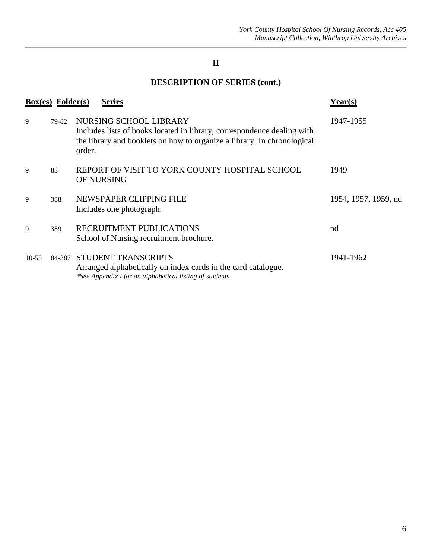# **DESCRIPTION OF SERIES (cont.)**

|           | <b>Box(es)</b> Folder(s) | <b>Series</b>                                                                                                                                                                          | Year(s)              |
|-----------|--------------------------|----------------------------------------------------------------------------------------------------------------------------------------------------------------------------------------|----------------------|
| 9         | 79-82                    | NURSING SCHOOL LIBRARY<br>Includes lists of books located in library, correspondence dealing with<br>the library and booklets on how to organize a library. In chronological<br>order. | 1947-1955            |
| 9         | 83                       | REPORT OF VISIT TO YORK COUNTY HOSPITAL SCHOOL<br>OF NURSING                                                                                                                           | 1949                 |
| 9         | 388                      | NEWSPAPER CLIPPING FILE<br>Includes one photograph.                                                                                                                                    | 1954, 1957, 1959, nd |
| 9         | 389                      | RECRUITMENT PUBLICATIONS<br>School of Nursing recruitment brochure.                                                                                                                    | nd                   |
| $10 - 55$ |                          | 84-387 STUDENT TRANSCRIPTS<br>Arranged alphabetically on index cards in the card catalogue.<br>*See Appendix I for an alphabetical listing of students.                                | 1941-1962            |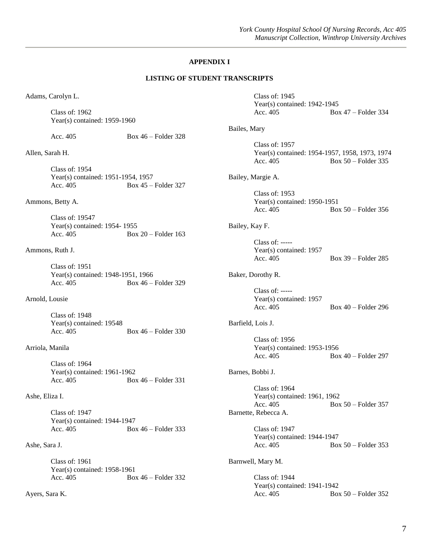# **APPENDIX I**

#### **LISTING OF STUDENT TRANSCRIPTS**

Adams, Carolyn L.

Class of: 1962 Year(s) contained: 1959-1960

Acc. 405 Box 46 – Folder 328

Allen, Sarah H.

Class of: 1954 Year(s) contained: 1951-1954, 1957 Acc. 405 Box 45 – Folder 327

Ammons, Betty A.

Class of: 19547 Year(s) contained: 1954- 1955 Acc. 405 Box 20 – Folder 163

Ammons, Ruth J.

Class of: 1951 Year(s) contained: 1948-1951, 1966 Acc. 405 Box 46 – Folder 329

Arnold, Lousie

Class of: 1948 Year(s) contained: 19548 Acc. 405 Box 46 – Folder 330

Arriola, Manila

Class of: 1964 Year(s) contained: 1961-1962 Acc. 405 Box 46 – Folder 331

Ashe, Eliza I.

Class of: 1947 Year(s) contained: 1944-1947 Acc. 405 Box 46 – Folder 333

Ashe, Sara J.

Class of: 1961 Year(s) contained: 1958-1961 Acc. 405 Box 46 – Folder 332

Ayers, Sara K.

Class of: 1945 Year(s) contained: 1942-1945 Acc. 405 Box 47 – Folder 334 Bailes, Mary Class of: 1957 Year(s) contained: 1954-1957, 1958, 1973, 1974 Acc. 405 Box 50 – Folder 335 Bailey, Margie A. Class of: 1953 Year(s) contained: 1950-1951 Acc. 405 Box 50 – Folder 356 Bailey, Kay F. Class of: ----- Year(s) contained: 1957 Acc. 405 Box 39 – Folder 285 Baker, Dorothy R. Class of: ----- Year(s) contained: 1957 Acc. 405 Box 40 – Folder 296 Barfield, Lois J. Class of: 1956 Year(s) contained: 1953-1956 Acc. 405 Box 40 – Folder 297 Barnes, Bobbi J. Class of: 1964 Year(s) contained: 1961, 1962 Acc. 405 Box 50 – Folder 357 Barnette, Rebecca A. Class of: 1947 Year(s) contained: 1944-1947 Acc. 405 Box 50 – Folder 353 Barnwell, Mary M. Class of: 1944 Year(s) contained: 1941-1942 Acc. 405 Box 50 – Folder 352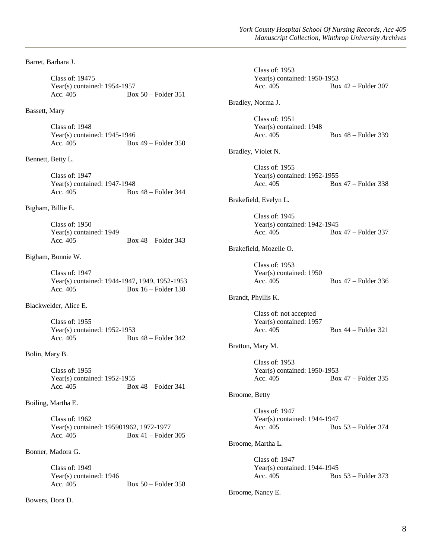Barret, Barbara J.

Class of: 19475 Year(s) contained: 1954-1957 Acc. 405 Box 50 – Folder 351

# Bassett, Mary

Class of: 1948 Year(s) contained: 1945-1946 Acc. 405 Box 49 – Folder 350

### Bennett, Betty L.

Class of: 1947 Year(s) contained: 1947-1948 Acc. 405 Box 48 – Folder 344

## Bigham, Billie E.

Class of: 1950 Year(s) contained: 1949 Acc. 405 Box 48 – Folder 343

# Bigham, Bonnie W.

Class of: 1947 Year(s) contained: 1944-1947, 1949, 1952-1953 Acc. 405 Box 16 – Folder 130

### Blackwelder, Alice E.

Class of: 1955 Year(s) contained: 1952-1953<br>Acc. 405 Boz Box  $48$  – Folder 342

# Bolin, Mary B.

Class of: 1955 Year(s) contained: 1952-1955 Acc. 405 Box 48 – Folder 341

## Boiling, Martha E.

Class of: 1962 Year(s) contained: 195901962, 1972-1977<br>Acc. 405 Box 41 – Folder Box  $41$  – Folder 305

# Bonner, Madora G.

Class of: 1949 Year(s) contained: 1946 Acc. 405 Box 50 – Folder 358

## Bowers, Dora D.

|               | <b>Class of: 1953</b><br>Year(s) contained: $1950-1953$<br>Acc. 405 | $Box 42 - Folder 307$ |
|---------------|---------------------------------------------------------------------|-----------------------|
|               | Bradley, Norma J.                                                   |                       |
|               | Class of: 1951<br>Year(s) contained: 1948<br>Acc. 405               | Box $48$ – Folder 339 |
|               | Bradley, Violet N.                                                  |                       |
|               | <b>Class of: 1955</b><br>Year(s) contained: $1952-1955$<br>Acc. 405 | Box 47 – Folder 338   |
|               | Brakefield, Evelyn L.                                               |                       |
|               | Class of: 1945<br>Year(s) contained: 1942-1945<br>Acc. 405          | Box 47 – Folder 337   |
|               | Brakefield, Mozelle O.                                              |                       |
|               | Class of: 1953<br>Year(s) contained: 1950<br>Acc. 405               | Box 47 – Folder 336   |
|               | Brandt, Phyllis K.                                                  |                       |
|               | Class of: not accepted<br>Year(s) contained: 1957<br>Acc. 405       | Box 44 – Folder 321   |
|               | Bratton, Mary M.                                                    |                       |
|               | <b>Class of: 1953</b><br>Year(s) contained: 1950-1953<br>Acc. 405   | Box 47 – Folder 335   |
| Broome, Betty |                                                                     |                       |
|               | Class of: 1947<br>Year(s) contained: 1944-1947<br>Acc. 405          | Box 53 - Folder 374   |
|               | Broome, Martha L.                                                   |                       |
|               | Class of: 1947<br>Year(s) contained: $1944-1945$<br>Acc. 405        | Box $53$ – Folder 373 |
|               | Broome, Nancy E.                                                    |                       |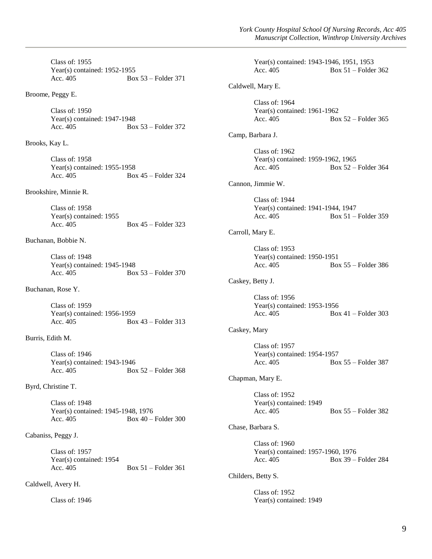Class of: 1955 Year(s) contained: 1952-1955 Acc. 405 Box 53 – Folder 371

Broome, Peggy E.

Class of: 1950 Year(s) contained: 1947-1948 Acc. 405 Box 53 – Folder 372

Brooks, Kay L.

Class of: 1958 Year(s) contained: 1955-1958 Acc. 405 Box 45 – Folder 324

Brookshire, Minnie R.

Class of: 1958 Year(s) contained: 1955 Acc. 405 Box 45 – Folder 323

Buchanan, Bobbie N.

Class of: 1948 Year(s) contained: 1945-1948 Acc. 405 Box 53 – Folder 370

Buchanan, Rose Y.

Class of: 1959 Year(s) contained: 1956-1959 Acc. 405 Box 43 – Folder 313

Burris, Edith M.

Class of: 1946 Year(s) contained: 1943-1946 Acc. 405 Box 52 – Folder 368

Byrd, Christine T.

Class of: 1948 Year(s) contained: 1945-1948, 1976 Acc. 405 Box 40 – Folder 300

Cabaniss, Peggy J.

Class of: 1957 Year(s) contained: 1954 Acc. 405 Box 51 – Folder 361

Caldwell, Avery H.

Class of: 1946

Year(s) contained: 1943-1946, 1951, 1953 Acc. 405 Box 51 – Folder 362 Caldwell, Mary E. Class of: 1964 Year(s) contained: 1961-1962 Acc. 405 Box 52 – Folder 365 Camp, Barbara J. Class of: 1962 Year(s) contained: 1959-1962, 1965 Acc. 405 Box 52 – Folder 364 Cannon, Jimmie W. Class of: 1944 Year(s) contained: 1941-1944, 1947 Acc. 405 Box 51 – Folder 359 Carroll, Mary E. Class of: 1953 Year(s) contained: 1950-1951 Acc. 405 Box 55 – Folder 386 Caskey, Betty J. Class of: 1956 Year(s) contained: 1953-1956 Acc. 405 Box 41 – Folder 303 Caskey, Mary Class of: 1957 Year(s) contained: 1954-1957 Acc. 405 Box 55 – Folder 387 Chapman, Mary E. Class of: 1952 Year(s) contained: 1949 Acc. 405 Box 55 – Folder 382 Chase, Barbara S. Class of: 1960 Year(s) contained: 1957-1960, 1976 Acc. 405 Box 39 – Folder 284 Childers, Betty S. Class of: 1952 Year(s) contained: 1949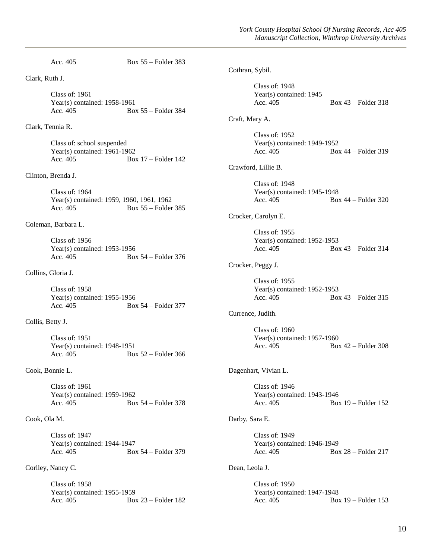Acc. 405 Box 55 – Folder 383 Clark, Ruth J. Class of: 1961 Year(s) contained: 1958-1961 Acc. 405 Box 55 – Folder 384 Clark, Tennia R. Class of: school suspended Year(s) contained: 1961-1962 Acc. 405 Box 17 – Folder 142 Clinton, Brenda J. Class of: 1964 Year(s) contained: 1959, 1960, 1961, 1962 Acc. 405 Box 55 – Folder 385 Coleman, Barbara L. Class of: 1956 Year(s) contained: 1953-1956 Acc. 405 Box 54 – Folder 376 Collins, Gloria J. Class of: 1958 Year(s) contained: 1955-1956 Acc. 405 Box 54 – Folder 377 Collis, Betty J. Class of: 1951 Year(s) contained: 1948-1951 Acc. 405 Box 52 – Folder 366 Cook, Bonnie L. Class of: 1961 Year(s) contained: 1959-1962 Acc. 405 Box 54 – Folder 378 Cook, Ola M. Class of: 1947 Year(s) contained: 1944-1947 Acc. 405 Box 54 – Folder 379 Corlley, Nancy C. Class of: 1958 Year(s) contained: 1955-1959 Acc. 405 Box 23 – Folder 182 Cothran, Sybil. Class of: 1948 Year(s) contained: 1945 Acc. 405 Box 43 – Folder 318 Craft, Mary A. Class of: 1952 Year(s) contained: 1949-1952 Acc. 405 Box 44 – Folder 319 Crawford, Lillie B. Class of: 1948 Year(s) contained: 1945-1948 Acc. 405 Box 44 – Folder 320 Crocker, Carolyn E. Class of: 1955 Year(s) contained: 1952-1953 Acc. 405 Box 43 – Folder 314 Crocker, Peggy J. Class of: 1955 Year(s) contained: 1952-1953 Acc. 405 Box 43 – Folder 315 Currence, Judith. Class of: 1960 Year(s) contained: 1957-1960 Acc. 405 Box 42 – Folder 308 Dagenhart, Vivian L. Class of: 1946 Year(s) contained: 1943-1946 Acc. 405 Box 19 – Folder 152 Darby, Sara E. Class of: 1949 Year(s) contained: 1946-1949 Acc. 405 Box 28 – Folder 217 Dean, Leola J. Class of: 1950 Year(s) contained: 1947-1948 Acc. 405 Box 19 – Folder 153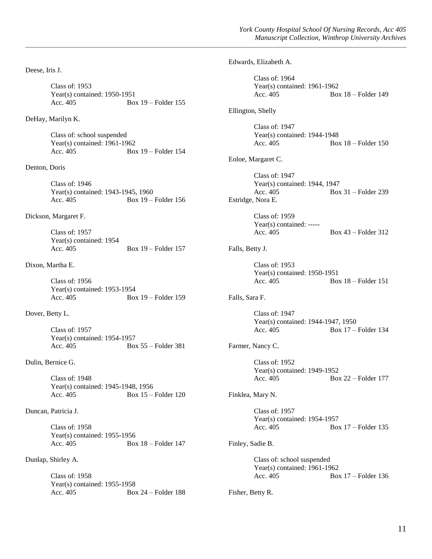Deese, Iris J. Class of: 1953 Year(s) contained: 1950-1951 Acc. 405 Box 19 – Folder 155 DeHay, Marilyn K.

> Class of: school suspended Year(s) contained: 1961-1962 Acc. 405 Box 19 – Folder 154

#### Denton, Doris

Class of: 1946 Year(s) contained: 1943-1945, 1960 Acc. 405 Box 19 – Folder 156

## Dickson, Margaret F.

Class of: 1957 Year(s) contained: 1954<br>Acc. 405 Box  $19$  – Folder 157

# Dixon, Martha E.

Class of: 1956 Year(s) contained: 1953-1954 Acc. 405 Box 19 – Folder 159

Dover, Betty L.

Class of: 1957 Year(s) contained: 1954-1957<br>Acc. 405 Bo: Box 55 – Folder 381

Dulin, Bernice G.

Class of: 1948 Year(s) contained: 1945-1948, 1956<br>Acc. 405 Box 15 -Box  $15$  – Folder 120

# Duncan, Patricia J.

Class of: 1958 Year(s) contained: 1955-1956 Acc. 405 Box 18 – Folder 147

# Dunlap, Shirley A.

Class of: 1958 Year(s) contained: 1955-1958 Acc. 405 Box 24 – Folder 188

|                   | Edwards, Elizabeth A.                                                            |                         |
|-------------------|----------------------------------------------------------------------------------|-------------------------|
|                   | Class of: 1964<br>Year(s) contained: 1961-1962<br>Acc. 405                       | Box 18 - Folder 149     |
| Ellington, Shelly |                                                                                  |                         |
|                   | <b>Class of: 1947</b><br>Year(s) contained: $1944-1948$<br>Acc. 405              | Box $18$ – Folder $150$ |
|                   | Eoloe, Margaret C.                                                               |                         |
|                   | Class of: 1947<br>Year(s) contained: 1944, 1947<br>Acc. 405<br>Estridge, Nora E. | Box 31 - Folder 239     |
|                   | Class of: 1959<br>Year(s) contained: $---$<br>Acc. 405                           | Box 43 – Folder 312     |
| Falls, Betty J.   |                                                                                  |                         |
|                   | Class of: 1953<br>Year(s) contained: 1950-1951<br>Acc. 405                       | Box $18$ – Folder $151$ |
| Falls, Sara F.    |                                                                                  |                         |
|                   | Class of: 1947<br>Year(s) contained: 1944-1947, 1950<br>Acc. 405                 | Box 17 - Folder 134     |
|                   | Farmer, Nancy C.                                                                 |                         |
|                   | Class of: $1952$<br>Year(s) contained: 1949-1952<br>Acc. 405                     | Box 22 – Folder 177     |
|                   | Finklea, Mary N.                                                                 |                         |
|                   | Class of: 1957<br>Year(s) contained: $1954-1957$<br>Acc. 405                     | Box $17$ – Folder 135   |
| Finley, Sadie B.  |                                                                                  |                         |
|                   | Class of: school suspended<br>Year(s) contained: $1961-1962$<br>Acc. 405         | Box $17$ – Folder 136   |

Fisher, Betty R.

11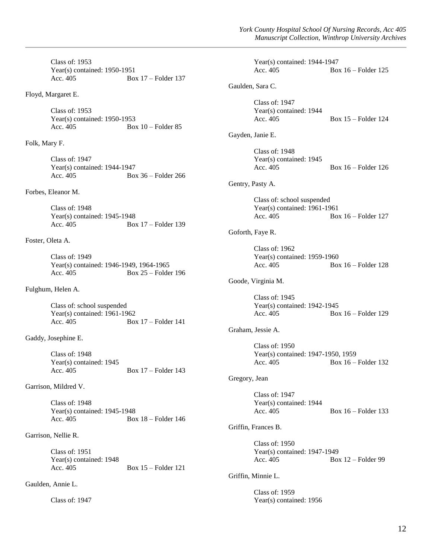Class of: 1953 Year(s) contained: 1950-1951 Acc. 405 Box 17 – Folder 137

Floyd, Margaret E.

Class of: 1953 Year(s) contained: 1950-1953 Acc. 405 Box 10 – Folder 85

Folk, Mary F.

Class of: 1947 Year(s) contained: 1944-1947 Acc. 405 Box 36 – Folder 266

Forbes, Eleanor M.

Class of: 1948 Year(s) contained: 1945-1948 Acc. 405 Box 17 – Folder 139

Foster, Oleta A.

Class of: 1949 Year(s) contained: 1946-1949, 1964-1965 Acc.  $405$  Box  $25$  – Folder 196

Fulghum, Helen A.

Class of: school suspended Year(s) contained: 1961-1962 Acc. 405 Box 17 – Folder 141

Gaddy, Josephine E.

Class of: 1948 Year(s) contained: 1945<br>Acc. 405 Box 17 – Folder 143

Garrison, Mildred V.

Class of: 1948 Year(s) contained: 1945-1948 Acc. 405 Box 18 – Folder 146

Garrison, Nellie R.

Class of: 1951 Year(s) contained: 1948 Acc. 405 Box 15 – Folder 121

Gaulden, Annie L.

Class of: 1947

|                     | Year(s) contained: $1944-1947$<br>Acc. 405                                             | Box $16$ – Folder 125 |  |
|---------------------|----------------------------------------------------------------------------------------|-----------------------|--|
|                     | Gaulden, Sara C.                                                                       |                       |  |
|                     | Class of: 1947<br>Year(s) contained: 1944<br>Acc. 405                                  | Box $15$ – Folder 124 |  |
|                     | Gayden, Janie E.                                                                       |                       |  |
|                     | Class of: 1948<br>Year(s) contained: 1945<br>Acc. 405                                  | Box $16$ – Folder 126 |  |
|                     | Gentry, Pasty A.                                                                       |                       |  |
|                     | Class of: school suspended<br>Year(s) contained: 1961-1961<br>Acc. 405                 | Box $16$ – Folder 127 |  |
|                     | Goforth, Faye R.                                                                       |                       |  |
|                     | Class of: 1962<br>Year(s) contained: 1959-1960<br>Acc. 405                             | Box $16$ – Folder 128 |  |
|                     | Goode, Virginia M.                                                                     |                       |  |
|                     | Class of: 1945<br>Year(s) contained: 1942-1945<br>Acc. 405                             | Box 16 - Folder 129   |  |
|                     | Graham, Jessie A.                                                                      |                       |  |
|                     | Class of: $1950$<br>Year(s) contained: 1947-1950, 1959<br>Acc. 405 Box 16 – Folder 132 |                       |  |
| Gregory, Jean       |                                                                                        |                       |  |
|                     | Class of: 1947<br>Year(s) contained: 1944<br>Acc. 405                                  | Box $16$ – Folder 133 |  |
| Griffin, Frances B. |                                                                                        |                       |  |
|                     | <b>Class of: 1950</b><br>Year(s) contained: 1947-1949<br>Acc. 405                      | Box $12$ – Folder 99  |  |
| Griffin, Minnie L.  |                                                                                        |                       |  |
|                     | <b>Class of: 1959</b><br>Year(s) contained: 1956                                       |                       |  |
|                     |                                                                                        |                       |  |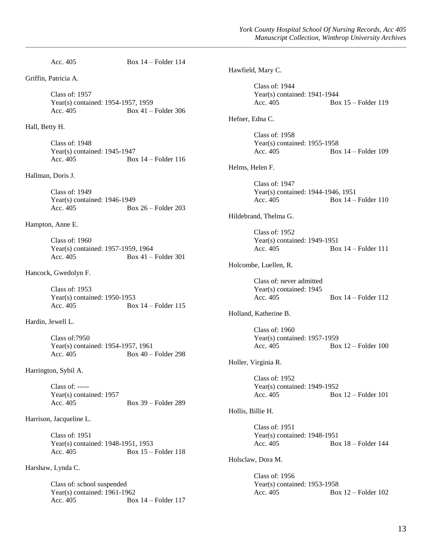Acc. 405 Box 14 – Folder 114 Griffin, Patricia A. Class of: 1957 Year(s) contained: 1954-1957, 1959 Acc. 405 Box 41 – Folder 306 Hall, Betty H. Class of: 1948 Year(s) contained: 1945-1947 Acc. 405 Box 14 – Folder 116 Hallman, Doris J. Class of: 1949 Year(s) contained: 1946-1949 Acc. 405 Box 26 – Folder 203 Hampton, Anne E. Class of: 1960 Year(s) contained: 1957-1959, 1964 Acc. 405 Box 41 – Folder 301 Hancock, Gwedolyn F. Class of: 1953 Year(s) contained: 1950-1953 Acc. 405 Box 14 – Folder 115 Hardin, Jewell L. Class of:7950 Year(s) contained: 1954-1957, 1961 Acc. 405 Box 40 – Folder 298 Harrington, Sybil A. Class of: ----- Year(s) contained: 1957 Acc. 405 Box 39 – Folder 289 Harrison, Jacqueline L. Class of: 1951 Year(s) contained: 1948-1951, 1953 Acc. 405 Box 15 – Folder 118 Harshaw, Lynda C. Class of: school suspended Year(s) contained: 1961-1962 Acc. 405 Box 14 – Folder 117 Hawfield, Mary C. Class of: 1944 Year(s) contained: 1941-1944 Acc. 405 Box 15 – Folder 119 Hefner, Edna C. Class of: 1958 Year(s) contained: 1955-1958 Acc. 405 Box 14 – Folder 109 Helms, Helen F. Class of: 1947 Year(s) contained: 1944-1946, 1951 Acc. 405 Box 14 – Folder 110 Hildebrand, Thelma G. Class of: 1952 Year(s) contained: 1949-1951 Acc. 405 Box 14 – Folder 111 Holcombe, Luellen, R. Class of: never admitted Year(s) contained: 1945 Acc. 405 Box 14 – Folder 112 Holland, Katherine B. Class of: 1960 Year(s) contained: 1957-1959 Acc. 405 Box 12 – Folder 100 Holler, Virginia R. Class of: 1952 Year(s) contained: 1949-1952 Acc. 405 Box 12 – Folder 101 Hollis, Billie H. Class of: 1951 Year(s) contained: 1948-1951 Acc. 405 Box 18 – Folder 144 Holsclaw, Dora M. Class of: 1956 Year(s) contained: 1953-1958 Acc. 405 Box 12 – Folder 102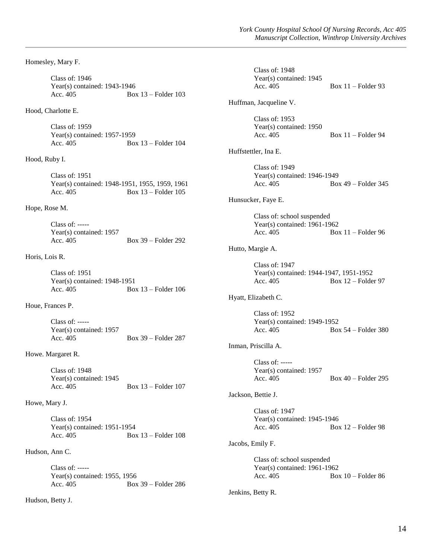Homesley, Mary F.

Class of: 1946 Year(s) contained: 1943-1946 Acc. 405 Box 13 – Folder 103

### Hood, Charlotte E.

Class of: 1959 Year(s) contained: 1957-1959 Acc. 405 Box 13 – Folder 104

Hood, Ruby I.

Class of: 1951 Year(s) contained: 1948-1951, 1955, 1959, 1961 Acc. 405 Box 13 – Folder 105

Hope, Rose M.

Class of: ----- Year(s) contained: 1957 Acc. 405 Box 39 – Folder 292

### Horis, Lois R.

Class of: 1951 Year(s) contained: 1948-1951 Acc. 405 Box 13 – Folder 106

Houe, Frances P.

Class of: ----- Year(s) contained: 1957<br>Acc. 405 Box 39 – Folder 287

Howe. Margaret R.

Class of: 1948 Year(s) contained: 1945 Acc. 405 Box 13 – Folder 107

Howe, Mary J.

Class of: 1954 Year(s) contained: 1951-1954<br>Acc. 405 Boy Box  $13$  – Folder 108

# Hudson, Ann C.

Class of: ----- Year(s) contained: 1955, 1956 Acc. 405 Box 39 – Folder 286

Hudson, Betty J.

| Class of: 1948<br>Year(s) contained: 1945<br>Acc. 405                  | $Box 11 - Folder 93$  |
|------------------------------------------------------------------------|-----------------------|
| Huffman, Jacqueline V.                                                 |                       |
| Class of: 1953<br>Year(s) contained: 1950<br>Acc. 405                  | Box $11$ – Folder 94  |
| Huffstettler, Ina E.                                                   |                       |
| Class of: 1949<br>Year(s) contained: 1946-1949<br>Acc. 405             | Box 49 – Folder 345   |
| Hunsucker, Faye E.                                                     |                       |
| Class of: school suspended<br>Year(s) contained: 1961-1962<br>Acc. 405 | Box $11$ – Folder 96  |
| Hutto, Margie A.                                                       |                       |
| Class of: 1947<br>Year(s) contained: 1944-1947, 1951-1952<br>Acc. 405  | Box $12$ – Folder 97  |
| Hyatt, Elizabeth C.                                                    |                       |
| Class of: 1952<br>Year(s) contained: 1949-1952<br>Acc. 405             | Box $54$ – Folder 380 |
| Inman, Priscilla A.                                                    |                       |
| Class of: -----<br>Year(s) contained: 1957<br>Acc. 405                 | Box $40$ – Folder 295 |
| Jackson, Bettie J.                                                     |                       |
| Class of: 1947<br>Year(s) contained: $1945-1946$<br>Acc. 405           | Box $12$ – Folder 98  |
| Jacobs, Emily F.                                                       |                       |
| Class of: school suspended<br>Year(s) contained: 1961-1962<br>Acc. 405 | $Box 10 - Folder 86$  |
| Jenkins, Betty R.                                                      |                       |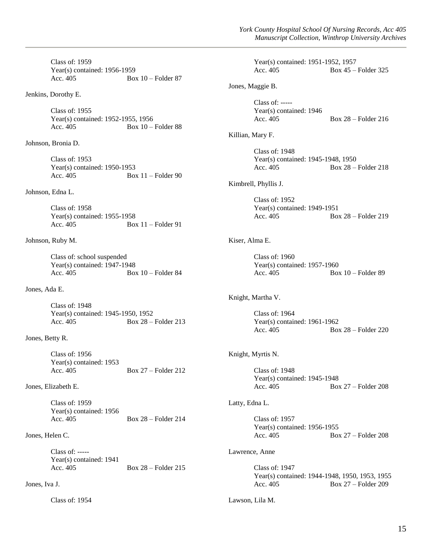Class of: 1959 Year(s) contained: 1956-1959 Acc. 405 Box 10 – Folder 87

Jenkins, Dorothy E.

Class of: 1955 Year(s) contained: 1952-1955, 1956 Acc.  $405$  Box  $10 -$ Folder 88

Johnson, Bronia D.

Class of: 1953 Year(s) contained: 1950-1953 Acc. 405 Box 11 – Folder 90

Johnson, Edna L.

Class of: 1958 Year(s) contained: 1955-1958<br>Acc. 405 Boz Box  $11$  – Folder 91

Johnson, Ruby M.

Class of: school suspended Year(s) contained: 1947-1948 Acc.  $405$  Box  $10 -$ Folder 84

Jones, Ada E.

Class of: 1948 Year(s) contained: 1945-1950, 1952 Acc. 405 Box 28 – Folder 213

Jones, Betty R.

Class of: 1956 Year(s) contained: 1953 Acc. 405 Box 27 – Folder 212

Jones, Elizabeth E.

Class of: 1959 Year(s) contained: 1956 Acc. 405 Box 28 – Folder 214

Jones, Helen C.

Class of: ----- Year(s) contained: 1941 Acc. 405 Box 28 – Folder 215

# Jones, Iva J.

Class of: 1954

|                  | Year(s) contained: 1951-1952, 1957<br>Acc. $405$                             | Box 45 – Folder 325        |
|------------------|------------------------------------------------------------------------------|----------------------------|
|                  | Jones, Maggie B.                                                             |                            |
|                  | Class of: -----<br>Year(s) contained: 1946<br>Acc. 405                       | Box $28$ – Folder 216      |
| Killian, Mary F. |                                                                              |                            |
|                  | Class of: 1948<br>Year(s) contained: 1945-1948, 1950<br>Acc. 405             | Box $28$ – Folder $218$    |
|                  | Kimbrell, Phyllis J.                                                         |                            |
|                  | Class of: 1952<br>Year(s) contained: 1949-1951<br>Acc. 405                   | Box $28$ – Folder 219      |
| Kiser, Alma E.   |                                                                              |                            |
|                  | Class of: $1960$<br>Year(s) contained: 1957-1960<br>Acc. 405                 | Box $10$ – Folder 89       |
|                  | Knight, Martha V.                                                            |                            |
|                  | Class of: 1964<br>Year(s) contained: 1961-1962<br>Acc. 405                   | <b>Box 28 - Folder 220</b> |
|                  | Knight, Myrtis N.                                                            |                            |
|                  | <b>Class of: 1948</b><br>Year(s) contained: $1945-1948$<br>Acc. 405          | Box $27$ – Folder 208      |
| Latty, Edna L.   |                                                                              |                            |
|                  | Class of: 1957<br>Year(s) contained: 1956-1955<br>Acc. 405                   | Box $27$ – Folder 208      |
| Lawrence, Anne   |                                                                              |                            |
|                  | Class of: 1947<br>Year(s) contained: 1944-1948, 1950, 1953, 1955<br>Acc. 405 | Box $27$ – Folder 209      |
| Lawson, Lila M.  |                                                                              |                            |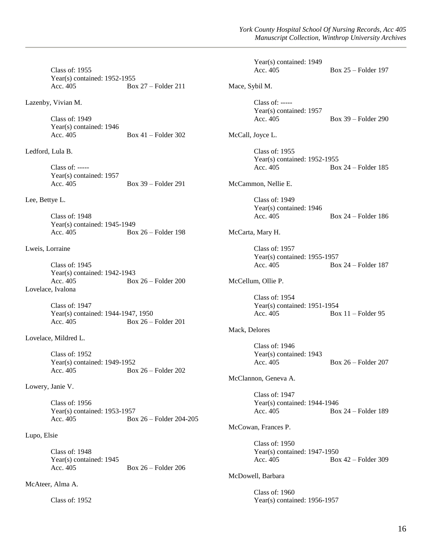Class of: 1955 Year(s) contained: 1952-1955 Acc. 405 Box 27 – Folder 211 Lazenby, Vivian M. Class of: 1949 Year(s) contained: 1946 Acc. 405 Box 41 – Folder 302 Ledford, Lula B. Class of: ----- Year(s) contained: 1957 Acc. 405 Box 39 – Folder 291 Lee, Bettye L. Class of: 1948 Year(s) contained: 1945-1949 Acc. 405 Box 26 – Folder 198 Lweis, Lorraine Class of: 1945 Year(s) contained: 1942-1943 Acc. 405 Box 26 – Folder 200 Lovelace, Ivalona Class of: 1947 Year(s) contained: 1944-1947, 1950 Acc. 405 Box 26 – Folder 201 Lovelace, Mildred L. Class of: 1952 Year(s) contained: 1949-1952 Acc. 405 Box 26 – Folder 202 Lowery, Janie V. Class of: 1956 Year(s) contained: 1953-1957 Acc. 405 Box 26 – Folder 204-205 Lupo, Elsie Class of: 1948 Year(s) contained: 1945 Acc. 405 Box 26 – Folder 206 McAteer, Alma A. Class of: 1952 Year(s) contained: 1949<br>Acc. 405 Box 25 – Folder 197 Mace, Sybil M. Class of: ----- Year(s) contained: 1957 Acc. 405 Box 39 – Folder 290 McCall, Joyce L. Class of: 1955 Year(s) contained: 1952-1955 Acc. 405 Box 24 – Folder 185 McCammon, Nellie E. Class of: 1949 Year(s) contained: 1946 Acc. 405 Box 24 – Folder 186 McCarta, Mary H. Class of: 1957 Year(s) contained: 1955-1957 Acc. 405 Box 24 – Folder 187 McCellum, Ollie P. Class of: 1954 Year(s) contained: 1951-1954 Acc.  $405$  Box  $11$  – Folder 95 Mack, Delores Class of: 1946 Year(s) contained: 1943 Acc. 405 Box 26 – Folder 207 McClannon, Geneva A. Class of: 1947 Year(s) contained: 1944-1946 Acc. 405 Box 24 – Folder 189 McCowan, Frances P. Class of: 1950 Year(s) contained: 1947-1950 Acc. 405 Box 42 – Folder 309 McDowell, Barbara Class of: 1960 Year(s) contained: 1956-1957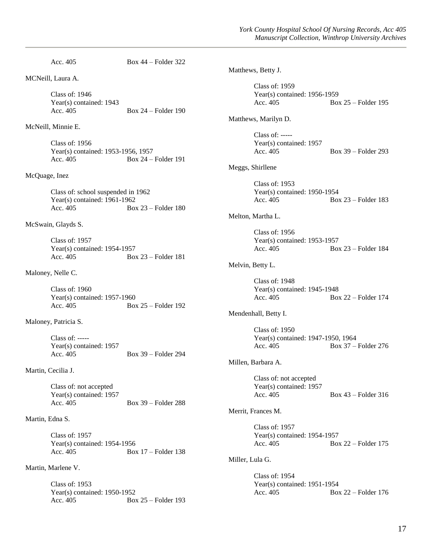Acc. 405 Box 44 – Folder 322 MCNeill, Laura A. Class of: 1946 Year(s) contained: 1943 Acc.  $405$  Box  $24$  – Folder 190 McNeill, Minnie E. Class of: 1956 Year(s) contained: 1953-1956, 1957 Acc. 405 Box 24 – Folder 191 McQuage, Inez Class of: school suspended in 1962 Year(s) contained: 1961-1962 Acc. 405 Box 23 – Folder 180 McSwain, Glayds S. Class of: 1957 Year(s) contained: 1954-1957 Acc. 405 Box 23 – Folder 181 Maloney, Nelle C. Class of: 1960 Year(s) contained: 1957-1960 Acc. 405 Box 25 – Folder 192 Maloney, Patricia S. Class of: ----- Year(s) contained: 1957 Acc. 405 Box 39 – Folder 294 Martin, Cecilia J. Class of: not accepted Year(s) contained: 1957 Acc. 405 Box 39 – Folder 288 Martin, Edna S. Class of: 1957 Year(s) contained: 1954-1956 Acc. 405 Box 17 – Folder 138 Martin, Marlene V. Class of: 1953 Year(s) contained: 1950-1952 Acc. 405 Box 25 – Folder 193

Matthews, Betty J. Class of: 1959 Year(s) contained: 1956-1959 Acc. 405 Box 25 – Folder 195 Matthews, Marilyn D. Class of: ----- Year(s) contained: 1957 Acc. 405 Box 39 – Folder 293 Meggs, Shirllene Class of: 1953 Year(s) contained: 1950-1954 Acc. 405 Box 23 – Folder 183 Melton, Martha L. Class of: 1956 Year(s) contained: 1953-1957 Acc. 405 Box 23 – Folder 184 Melvin, Betty L. Class of: 1948 Year(s) contained: 1945-1948 Acc. 405 Box 22 – Folder 174 Mendenhall, Betty I. Class of: 1950 Year(s) contained: 1947-1950, 1964 Acc. 405 Box 37 – Folder 276 Millen, Barbara A. Class of: not accepted Year(s) contained: 1957 Acc. 405 Box 43 – Folder 316 Merrit, Frances M. Class of: 1957 Year(s) contained: 1954-1957 Acc. 405 Box 22 – Folder 175 Miller, Lula G. Class of: 1954 Year(s) contained: 1951-1954 Acc. 405 Box 22 – Folder 176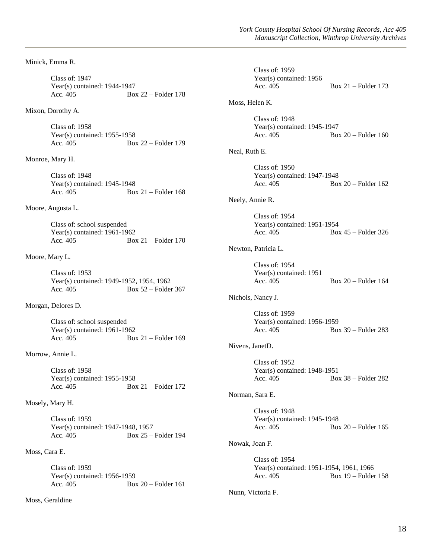Minick, Emma R.

Class of: 1947 Year(s) contained: 1944-1947 Acc. 405 Box 22 – Folder 178

Mixon, Dorothy A.

Class of: 1958 Year(s) contained: 1955-1958 Acc. 405 Box 22 – Folder 179

Monroe, Mary H.

Class of: 1948 Year(s) contained: 1945-1948 Acc.  $405$  Box  $21$  – Folder 168

Moore, Augusta L.

Class of: school suspended Year(s) contained: 1961-1962 Acc. 405 Box 21 – Folder 170

Moore, Mary L.

Class of: 1953 Year(s) contained: 1949-1952, 1954, 1962 Acc. 405 Box 52 – Folder 367

Morgan, Delores D.

Class of: school suspended Year(s) contained:  $1961-1962$ <br>Acc. 405 Bo Box  $21$  – Folder 169

Morrow, Annie L.

Class of: 1958 Year(s) contained: 1955-1958 Acc. 405 Box 21 – Folder 172

Mosely, Mary H.

Class of: 1959 Year(s) contained: 1947-1948, 1957<br>Acc. 405 Box 25 -Box 25 – Folder 194

Moss, Cara E.

Class of: 1959 Year(s) contained: 1956-1959 Acc. 405 Box 20 – Folder 161

Moss, Geraldine

|                   | Class of: 1959<br>Year(s) contained: 1956<br>Acc. 405                  |  | Box $21$ – Folder 173   |
|-------------------|------------------------------------------------------------------------|--|-------------------------|
| Moss, Helen K.    |                                                                        |  |                         |
|                   | Class of: 1948<br>Year(s) contained: $1945-1947$<br>Acc. 405           |  | Box $20$ – Folder 160   |
| Neal, Ruth E.     |                                                                        |  |                         |
|                   | Class of: $1950$<br>Year(s) contained: 1947-1948<br>Acc. 405           |  | $Box 20 - Folder 162$   |
|                   | Neely, Annie R.                                                        |  |                         |
|                   | Class of: 1954<br>Year(s) contained: 1951-1954<br>Acc. 405             |  | Box $45$ – Folder 326   |
|                   | Newton, Patricia L.                                                    |  |                         |
|                   | Class of: 1954<br>Year(s) contained: 1951<br>Acc. 405                  |  | Box $20$ – Folder 164   |
| Nichols, Nancy J. |                                                                        |  |                         |
|                   | Class of: 1959<br>Year(s) contained: 1956-1959<br>Acc. 405             |  | Box 39 – Folder 283     |
|                   | Nivens, JanetD.                                                        |  |                         |
|                   | Class of: 1952<br>Year(s) contained: $1948-1951$<br>Acc. 405           |  | Box $38$ – Folder 282   |
|                   | Norman, Sara E.                                                        |  |                         |
|                   | Class of: 1948<br>Year(s) contained: $1945-1948$<br>Acc. 405           |  | $Box 20 - Folder 165$   |
| Nowak, Joan F.    |                                                                        |  |                         |
|                   | Class of: 1954<br>Year(s) contained: 1951-1954, 1961, 1966<br>Acc. 405 |  | Box $19$ – Folder $158$ |
| Nunn, Victoria F. |                                                                        |  |                         |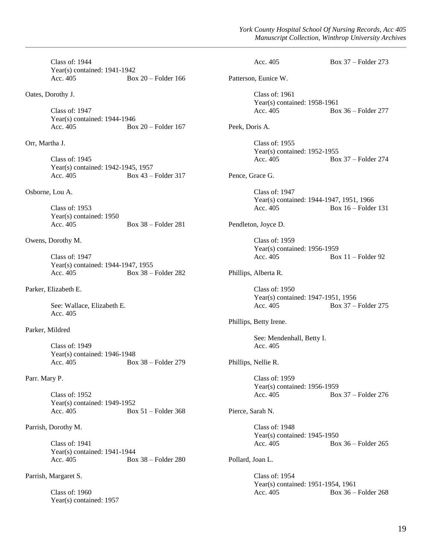Class of: 1944 Year(s) contained: 1941-1942 Acc. 405 Box 20 – Folder 166

Oates, Dorothy J.

Class of: 1947 Year(s) contained: 1944-1946 Acc. 405 Box 20 – Folder 167

Orr, Martha J.

Class of: 1945 Year(s) contained: 1942-1945, 1957 Acc. 405 Box 43 – Folder 317

### Osborne, Lou A.

Class of: 1953 Year(s) contained: 1950 Acc. 405 Box 38 – Folder 281

#### Owens, Dorothy M.

Class of: 1947 Year(s) contained: 1944-1947, 1955 Acc. 405 Box 38 – Folder 282

Parker, Elizabeth E.

See: Wallace, Elizabeth E. Acc. 405

# Parker, Mildred

Class of: 1949 Year(s) contained: 1946-1948 Acc. 405 Box 38 – Folder 279

# Parr. Mary P.

Class of: 1952 Year(s) contained: 1949-1952 Acc. 405 Box 51 – Folder 368

### Parrish, Dorothy M.

Class of: 1941 Year(s) contained: 1941-1944<br>Acc. 405 Boz Box  $38$  – Folder 280

Parrish, Margaret S.

Class of: 1960 Year(s) contained: 1957

|                  | Acc. $405$                                                               | Box $37$ – Folder 273   |  |
|------------------|--------------------------------------------------------------------------|-------------------------|--|
|                  | Patterson, Eunice W.                                                     |                         |  |
|                  | Class of: 1961<br>Year(s) contained: 1958-1961<br>Acc. $405$             | Box $36$ – Folder 277   |  |
| Peek, Doris A.   |                                                                          |                         |  |
|                  | <b>Class of: 1955</b><br>Year(s) contained: 1952-1955<br>Acc. 405        | Box $37$ – Folder 274   |  |
| Pence, Grace G.  |                                                                          |                         |  |
|                  | Class of: 1947<br>Year(s) contained: 1944-1947, 1951, 1966<br>Acc. $405$ | Box $16$ – Folder 131   |  |
|                  | Pendleton, Joyce D.                                                      |                         |  |
|                  | <b>Class of: 1959</b><br>Year(s) contained: 1956-1959<br>Acc. 405        | Box $11$ – Folder 92    |  |
|                  | Phillips, Alberta R.                                                     |                         |  |
|                  | Class of: $1950$<br>Year(s) contained: 1947-1951, 1956<br>Acc. 405       | Box $37$ – Folder 275   |  |
|                  | Phillips, Betty Irene.                                                   |                         |  |
|                  | See: Mendenhall, Betty I.<br>Acc. 405                                    |                         |  |
|                  | Phillips, Nellie R.                                                      |                         |  |
|                  | <b>Class of: 1959</b><br>Year(s) contained: 1956-1959<br>Acc. 405        | Box $37$ – Folder 276   |  |
| Pierce, Sarah N. |                                                                          |                         |  |
|                  | Class of: 1948<br>Year(s) contained: $1945-1950$<br>Acc. 405             | Box $36$ – Folder $265$ |  |
| Pollard, Joan L. |                                                                          |                         |  |
|                  | Class of: 1954<br>Year(s) contained: 1951-1954, 1961<br>Acc. 405         | Box 36 - Folder 268     |  |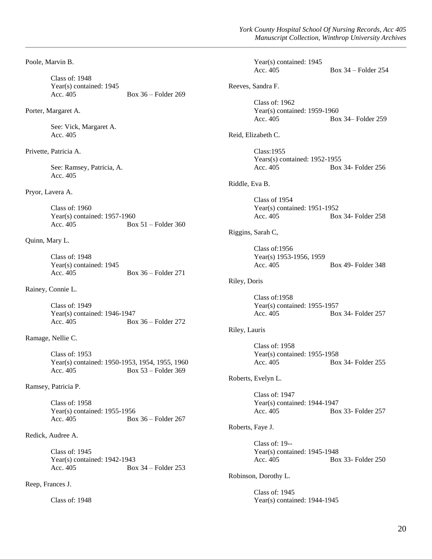Poole, Marvin B. Class of: 1948 Year(s) contained: 1945 Acc. 405 Box 36 – Folder 269 Porter, Margaret A. See: Vick, Margaret A. Acc. 405 Privette, Patricia A. See: Ramsey, Patricia, A. Acc. 405 Pryor, Lavera A. Class of: 1960 Year(s) contained: 1957-1960 Acc. 405 Box 51 – Folder 360 Quinn, Mary L. Class of: 1948 Year(s) contained: 1945 Acc. 405 Box 36 – Folder 271 Rainey, Connie L. Class of: 1949 Year(s) contained: 1946-1947 Acc. 405 Box 36 – Folder 272 Ramage, Nellie C. Class of: 1953 Year(s) contained: 1950-1953, 1954, 1955, 1960 Acc. 405 Box 53 – Folder 369 Ramsey, Patricia P. Class of: 1958 Year(s) contained: 1955-1956 Acc. 405 Box 36 – Folder 267 Redick, Audree A. Class of: 1945 Year(s) contained: 1942-1943 Acc. 405 Box 34 – Folder 253 Reep, Frances J. Class of: 1948 Year(s) contained: 1945<br>Acc. 405 Box  $34$  – Folder 254 Reeves, Sandra F. Class of: 1962 Year(s) contained: 1959-1960 Acc. 405 Box 34– Folder 259 Reid, Elizabeth C. Class:1955 Years(s) contained: 1952-1955 Acc. 405 Box 34- Folder 256 Riddle, Eva B. Class of 1954 Year(s) contained: 1951-1952 Acc. 405 Box 34- Folder 258 Riggins, Sarah C, Class of:1956 Year(s) 1953-1956, 1959 Acc. 405 Box 49- Folder 348 Riley, Doris Class of:1958 Year(s) contained: 1955-1957 Acc. 405 Box 34- Folder 257 Riley, Lauris Class of: 1958 Year(s) contained: 1955-1958 Acc. 405 Box 34- Folder 255 Roberts, Evelyn L. Class of: 1947 Year(s) contained: 1944-1947 Acc. 405 Box 33- Folder 257 Roberts, Faye J. Class of: 19-- Year(s) contained: 1945-1948 Acc. 405 Box 33- Folder 250 Robinson, Dorothy L. Class of: 1945 Year(s) contained: 1944-1945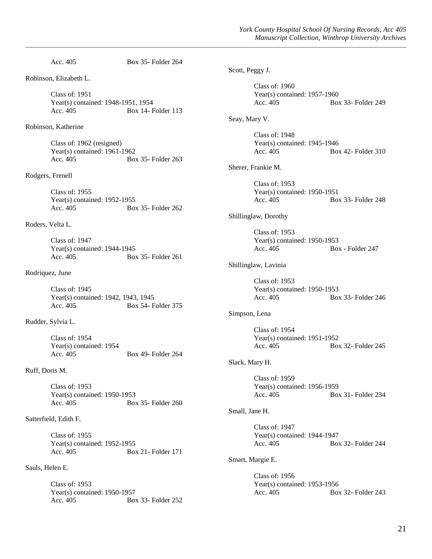Acc. 405 Box 35- Folder 264 Robinson, Elizabeth L. Class of: 1951 Year(s) contained: 1948-1951, 1954 Acc. 405 Box 14- Folder 113 Robinson, Katherine Class of: 1962 (resigned) Year(s) contained: 1961-1962 Acc. 405 Box 35- Folder 263 Rodgers, Frenell Class of: 1955 Year(s) contained: 1952-1955 Acc. 405 Box 35- Folder 262 Roders, Velta L. Class of: 1947 Year(s) contained: 1944-1945 Acc. 405 Box 35- Folder 261 Rodriquez, June Class of: 1945 Year(s) contained: 1942, 1943, 1945 Acc. 405 Box 54- Folder 375 Rudder, Sylvia L. Class of: 1954 Year(s) contained: 1954 Acc. 405 Box 49- Folder 264 Ruff, Doris M. Class of: 1953 Year(s) contained: 1950-1953 Acc. 405 Box 35- Folder 260 Satterfield, Edith F. Class of: 1955 Year(s) contained: 1952-1955 Acc. 405 Box 21- Folder 171 Sauls, Helen E. Class of: 1953 Year(s) contained: 1950-1957 Acc. 405 Box 33- Folder 252 Scott, Peggy J. Class of: 1960 Year(s) contained: 1957-1960 Acc. 405 Box 33- Folder 249 Seay, Mary V. Class of: 1948 Year(s) contained: 1945-1946 Acc. 405 Box 42- Folder 310 Sherer, Frankie M. Class of: 1953 Year(s) contained: 1950-1951 Acc. 405 Box 33- Folder 248 Shillinglaw, Dorothy Class of: 1953 Year(s) contained: 1950-1953 Acc. 405 Box - Folder 247 Shillinglaw, Lavinia Class of: 1953 Year(s) contained: 1950-1953 Acc. 405 Box 33- Folder 246 Simpson, Lena Class of: 1954 Year(s) contained: 1951-1952 Acc. 405 Box 32- Folder 245 Slack, Mary H. Class of: 1959 Year(s) contained: 1956-1959 Acc. 405 Box 31- Folder 234 Small, Jane H. Class of: 1947 Year(s) contained: 1944-1947 Acc. 405 Box 32- Folder 244 Smart, Margie E. Class of: 1956 Year(s) contained: 1953-1956 Acc. 405 Box 32- Folder 243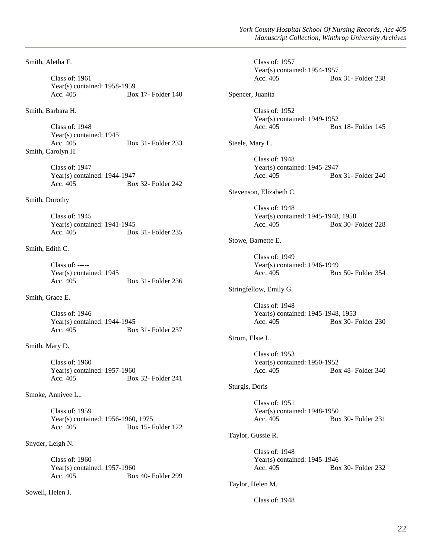Smith, Aletha F.

Class of: 1961 Year(s) contained: 1958-1959 Acc. 405 Box 17- Folder 140

Smith, Barbara H.

Class of: 1948 Year(s) contained: 1945 Acc. 405 Box 31- Folder 233 Smith, Carolyn H.

> Class of: 1947 Year(s) contained: 1944-1947 Acc. 405 Box 32- Folder 242

#### Smith, Dorothy

Class of: 1945 Year(s) contained: 1941-1945 Acc. 405 Box 31- Folder 235

# Smith, Edith C.

Class of: ----- Year(s) contained: 1945 Acc. 405 Box 31- Folder 236

# Smith, Grace E.

Class of: 1946 Year(s) contained: 1944-1945 Acc. 405 Box 31- Folder 237

# Smith, Mary D.

Class of: 1960 Year(s) contained: 1957-1960 Acc. 405 Box 32- Folder 241

Smoke, Annivee L..

Class of: 1959 Year(s) contained: 1956-1960, 1975 Acc. 405 Box 15- Folder 122

Snyder, Leigh N.

Class of: 1960 Year(s) contained: 1957-1960 Acc. 405 Box 40- Folder 299

Sowell, Helen J.

Class of: 1957 Year(s) contained: 1954-1957 Acc. 405 Box 31- Folder 238

Spencer, Juanita

Class of: 1952 Year(s) contained: 1949-1952 Acc. 405 Box 18- Folder 145

Steele, Mary L.

Class of: 1948 Year(s) contained: 1945-2947 Acc. 405 Box 31- Folder 240

Stevenson, Elizabeth C.

Class of: 1948 Year(s) contained: 1945-1948, 1950 Acc. 405 Box 30- Folder 228

# Stowe, Barnette E.

Class of: 1949 Year(s) contained: 1946-1949 Acc. 405 Box 50- Folder 354

## Stringfellow, Emily G.

Class of: 1948 Year(s) contained: 1945-1948, 1953 Acc. 405 Box 30- Folder 230

# Strom, Elsie L.

Class of: 1953 Year(s) contained: 1950-1952 Acc. 405 Box 48- Folder 340

#### Sturgis, Doris

Class of: 1951 Year(s) contained: 1948-1950 Acc. 405 Box 30- Folder 231

# Taylor, Gussie R.

Class of: 1948 Year(s) contained: 1945-1946 Acc. 405 Box 30- Folder 232

## Taylor, Helen M.

## Class of: 1948